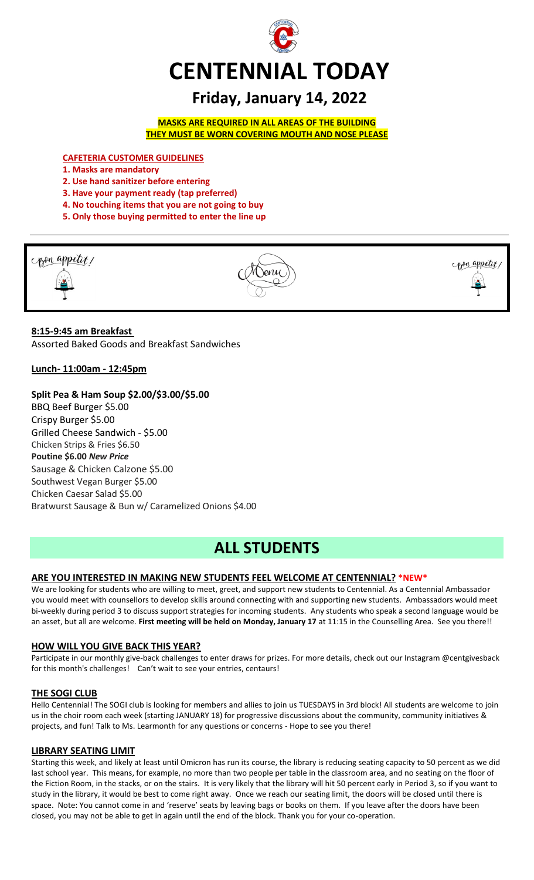

# **Friday, January 14, 2022**

**MASKS ARE REQUIRED IN ALL AREAS OF THE BUILDING THEY MUST BE WORN COVERING MOUTH AND NOSE PLEASE**

**CAFETERIA CUSTOMER GUIDELINES**

- **1. Masks are mandatory**
- **2. Use hand sanitizer before entering**
- **3. Have your payment ready (tap preferred)**
- **4. No touching items that you are not going to buy**
- **5. Only those buying permitted to enter the line up**



### **8:15-9:45 am Breakfast**

Assorted Baked Goods and Breakfast Sandwiches

**Lunch- 11:00am - 12:45pm**

#### **Split Pea & Ham Soup \$2.00/\$3.00/\$5.00**

BBQ Beef Burger \$5.00 Crispy Burger \$5.00 Grilled Cheese Sandwich - \$5.00 Chicken Strips & Fries \$6.50 **Poutine \$6.00** *New Price* Sausage & Chicken Calzone \$5.00 Southwest Vegan Burger \$5.00 Chicken Caesar Salad \$5.00 Bratwurst Sausage & Bun w/ Caramelized Onions \$4.00

# **ALL STUDENTS**

#### **ARE YOU INTERESTED IN MAKING NEW STUDENTS FEEL WELCOME AT CENTENNIAL? \*NEW\***

We are looking for students who are willing to meet, greet, and support new students to Centennial. As a Centennial Ambassador you would meet with counsellors to develop skills around connecting with and supporting new students. Ambassadors would meet bi-weekly during period 3 to discuss support strategies for incoming students. Any students who speak a second language would be an asset, but all are welcome. **First meeting will be held on Monday, January 17** at 11:15 in the Counselling Area. See you there!!

#### **HOW WILL YOU GIVE BACK THIS YEAR?**

Participate in our monthly give-back challenges to enter draws for prizes. For more details, check out our Instagram @centgivesback for this month's challenges! Can't wait to see your entries, centaurs!

#### **THE SOGI CLUB**

Hello Centennial! The SOGI club is looking for members and allies to join us TUESDAYS in 3rd block! All students are welcome to join us in the choir room each week (starting JANUARY 18) for progressive discussions about the community, community initiatives & projects, and fun! Talk to Ms. Learmonth for any questions or concerns - Hope to see you there!

#### **LIBRARY SEATING LIMIT**

Starting this week, and likely at least until Omicron has run its course, the library is reducing seating capacity to 50 percent as we did last school year. This means, for example, no more than two people per table in the classroom area, and no seating on the floor of the Fiction Room, in the stacks, or on the stairs. It is very likely that the library will hit 50 percent early in Period 3, so if you want to study in the library, it would be best to come right away. Once we reach our seating limit, the doors will be closed until there is space. Note: You cannot come in and 'reserve' seats by leaving bags or books on them. If you leave after the doors have been closed, you may not be able to get in again until the end of the block. Thank you for your co-operation.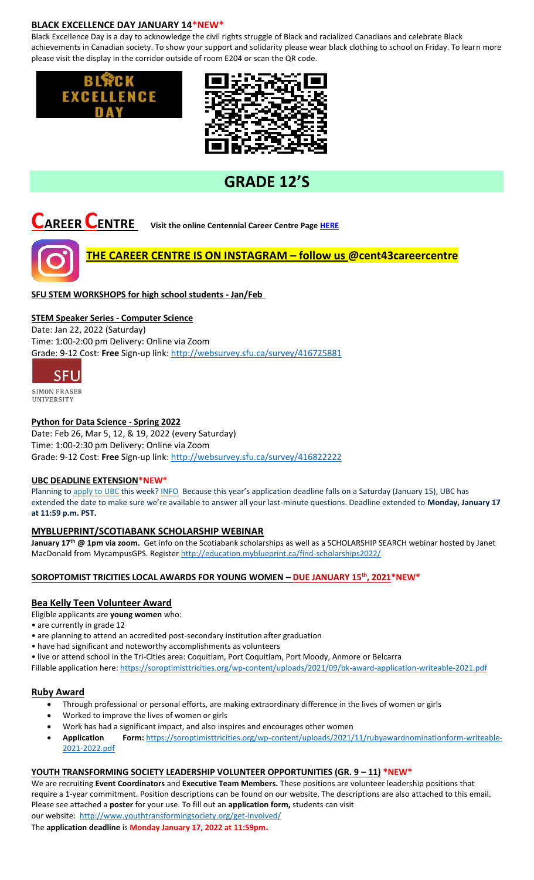#### **BLACK EXCELLENCE DAY JANUARY 14\*NEW\***

Black Excellence Day is a day to acknowledge the civil rights struggle of Black and racialized Canadians and celebrate Black achievements in Canadian society. To show your support and solidarity please wear black clothing to school on Friday. To learn more please visit the display in the corridor outside of room E204 or scan the QR code.





# **GRADE 12'S**



# **CAREER CENTRE Visit the online Centennial Career Centre Page [HERE](https://www.sd43.bc.ca/school/centennial/ProgramsServices/CareerCentre/experiences/Pages/default.aspx#/=)**

# **THE CAREER CENTRE IS ON INSTAGRAM – follow us @cent43careercentre**

### **SFU STEM WORKSHOPS for high school students - Jan/Feb**

#### **STEM Speaker Series - Computer Science**

Date: Jan 22, 2022 (Saturday) Time: 1:00-2:00 pm Delivery: Online via Zoom Grade: 9-12 Cost: **Free** Sign-up link: <http://websurvey.sfu.ca/survey/416725881>



UNIVERSITY

#### **Python for Data Science - Spring 2022**

Date: Feb 26, Mar 5, 12, & 19, 2022 (every Saturday) Time: 1:00-2:30 pm Delivery: Online via Zoom Grade: 9-12 Cost: **Free** Sign-up link: <http://websurvey.sfu.ca/survey/416822222>

#### **UBC DEADLINE EXTENSION\*NEW\***

Planning to [apply to UBC](https://ssc.adm.ubc.ca/sscportal/apply.xhtml) this week[? INFO](https://you.ubc.ca/applying-ubc/blog/dates-and-deadlines/application-deadline-extension/#:~:text=Planning%20to%20apply%20to%20UBC,Time%20to%20submit%20your%20application) Because this year's application deadline falls on a Saturday (January 15), UBC has extended the date to make sure we're available to answer all your last-minute questions. Deadline extended to **Monday, January 17 at 11:59 p.m. PST.**

#### **MYBLUEPRINT/SCOTIABANK SCHOLARSHIP WEBINAR**

**January 17th @ 1pm via zoom.** Get info on the Scotiabank scholarships as well as a SCHOLARSHIP SEARCH webinar hosted by Janet MacDonald from MycampusGPS. Registe[r http://education.myblueprint.ca/find-scholarships2022/](http://education.myblueprint.ca/find-scholarships2022/)

#### **SOROPTOMIST TRICITIES LOCAL AWARDS FOR YOUNG WOMEN – DUE JANUARY 15th, 2021\*NEW\***

#### **Bea Kelly Teen Volunteer Award**

Eligible applicants are **young women** who:

- are currently in grade 12
- are planning to attend an accredited post-secondary institution after graduation
- have had significant and noteworthy accomplishments as volunteers
- live or attend school in the Tri-Cities area: Coquitlam, Port Coquitlam, Port Moody, Anmore or Belcarra

Fillable application here:<https://soroptimisttricities.org/wp-content/uploads/2021/09/bk-award-application-writeable-2021.pdf>

#### **Ruby Award**

- Through professional or personal efforts, are making extraordinary difference in the lives of women or girls
- Worked to improve the lives of women or girls
- Work has had a significant impact, and also inspires and encourages other women
- **Application Form:** [https://soroptimisttricities.org/wp-content/uploads/2021/11/rubyawardnominationform-writeable-](https://soroptimisttricities.org/wp-content/uploads/2021/11/rubyawardnominationform-writeable-2021-2022.pdf)[2021-2022.pdf](https://soroptimisttricities.org/wp-content/uploads/2021/11/rubyawardnominationform-writeable-2021-2022.pdf)

#### **YOUTH TRANSFORMING SOCIETY LEADERSHIP VOLUNTEER OPPORTUNITIES (GR. 9 – 11) \*NEW\***

We are recruiting **Event Coordinators** and **Executive Team Members.** These positions are volunteer leadership positions that require a 1-year commitment. Position descriptions can be found on our website. The descriptions are also attached to this email. Please see attached a **poster** for your use. To fill out an **application form,** students can visit our website:<http://www.youthtransformingsociety.org/get-involved/>

The **application deadline** is **Monday January 17, 2022 at 11:59pm.**